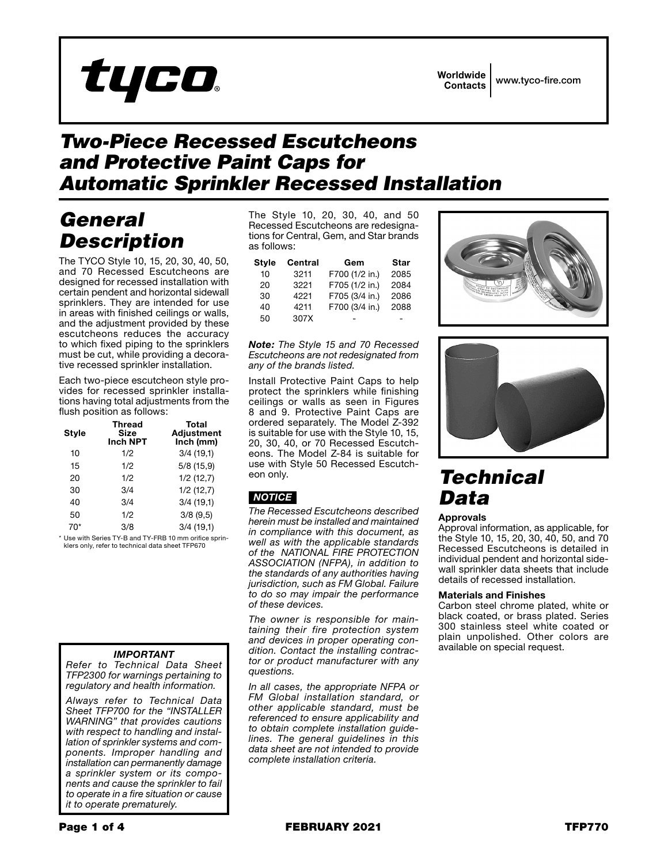

## *Two-Piece Recessed Escutcheons and Protective Paint Caps for Automatic Sprinkler Recessed Installation*

## *General Description*

The TYCO Style 10, 15, 20, 30, 40, 50, and 70 Recessed Escutcheons are designed for recessed installation with certain pendent and horizontal sidewall sprinklers. They are intended for use in areas with finished ceilings or walls, and the adjustment provided by these escutcheons reduces the accuracy to which fixed piping to the sprinklers must be cut, while providing a decorative recessed sprinkler installation.

Each two-piece escutcheon style provides for recessed sprinkler installations having total adjustments from the flush position as follows:

| Style | <b>Thread</b><br>Size<br><b>Inch NPT</b> | Total<br><b>Adjustment</b><br>Inch (mm) |
|-------|------------------------------------------|-----------------------------------------|
| 10    | 1/2                                      | 3/4(19,1)                               |
| 15    | 1/2                                      | 5/8(15,9)                               |
| 20    | 1/2                                      | 1/2(12,7)                               |
| 30    | 3/4                                      | 1/2(12,7)                               |
| 40    | 3/4                                      | 3/4(19,1)                               |
| 50    | 1/2                                      | 3/8(9,5)                                |
| 70*   | 3/8                                      | 3/4(19,1)                               |

\* Use with Series TY-B and TY-FRB 10 mm orifice sprinklers only, refer to technical data sheet TFP670

### *IMPORTANT*

*Refer to Technical Data Sheet TFP2300 for warnings pertaining to regulatory and health information.*

*Always refer to Technical Data Sheet TFP700 for the "INSTALLER WARNING" that provides cautions with respect to handling and installation of sprinkler systems and components. Improper handling and installation can permanently damage a sprinkler system or its components and cause the sprinkler to fail to operate in a fire situation or cause it to operate prematurely.*

The Style 10, 20, 30, 40, and 50 Recessed Escutcheons are redesignations for Central, Gem, and Star brands as follows:

| <b>Style</b> | Central | Gem            | Star |
|--------------|---------|----------------|------|
| 10           | 3211    | F700 (1/2 in.) | 2085 |
| 20           | 3221    | F705 (1/2 in.) | 2084 |
| 30           | 4221    | F705 (3/4 in.) | 2086 |
| 40           | 4211    | F700 (3/4 in.) | 2088 |
| 50           | 307X    |                |      |

#### *Note: The Style 15 and 70 Recessed Escutcheons are not redesignated from any of the brands listed.*

Install Protective Paint Caps to help protect the sprinklers while finishing ceilings or walls as seen in Figures 8 and 9. Protective Paint Caps are ordered separately. The Model Z-392 is suitable for use with the Style 10, 15, 20, 30, 40, or 70 Recessed Escutcheons. The Model Z-84 is suitable for use with Style 50 Recessed Escutcheon only.

## *NOTICE*

*The Recessed Escutcheons described herein must be installed and maintained in compliance with this document, as well as with the applicable standards of the NATIONAL FIRE PROTECTION ASSOCIATION (NFPA), in addition to the standards of any authorities having jurisdiction, such as FM Global. Failure to do so may impair the performance of these devices.*

*The owner is responsible for maintaining their fire protection system and devices in proper operating condition. Contact the installing contractor or product manufacturer with any questions.*

*In all cases, the appropriate NFPA or FM Global installation standard, or other applicable standard, must be referenced to ensure applicability and to obtain complete installation guidelines. The general guidelines in this data sheet are not intended to provide complete installation criteria.*





# *Technical Data*

## Approvals

Approval information, as applicable, for the Style 10, 15, 20, 30, 40, 50, and 70 Recessed Escutcheons is detailed in individual pendent and horizontal sidewall sprinkler data sheets that include details of recessed installation.

### Materials and Finishes

Carbon steel chrome plated, white or black coated, or brass plated. Series 300 stainless steel white coated or plain unpolished. Other colors are available on special request.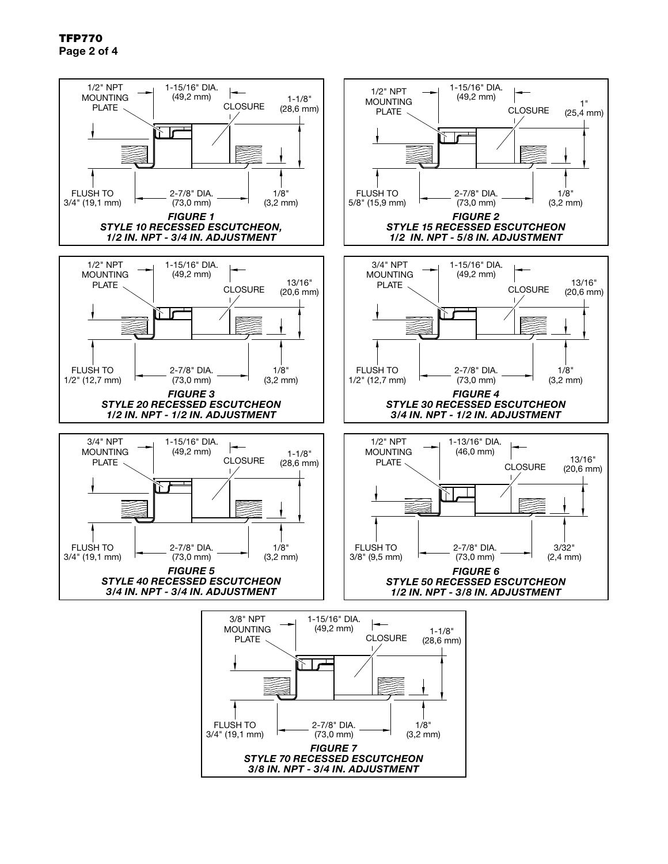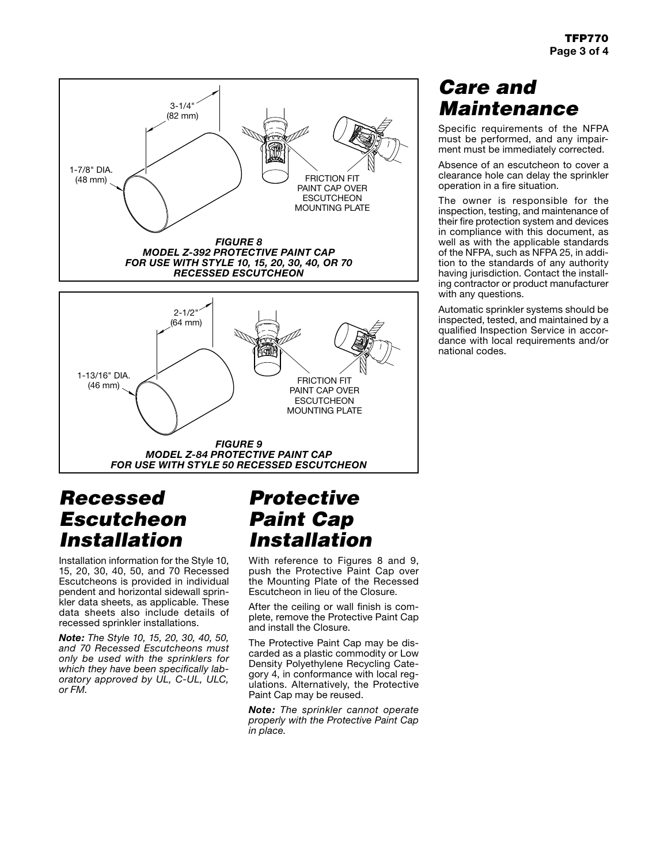

## *Recessed Escutcheon Installation*

Installation information for the Style 10, 15, 20, 30, 40, 50, and 70 Recessed Escutcheons is provided in individual pendent and horizontal sidewall sprinkler data sheets, as applicable. These data sheets also include details of recessed sprinkler installations.

*Note: The Style 10, 15, 20, 30, 40, 50, and 70 Recessed Escutcheons must only be used with the sprinklers for which they have been specifically laboratory approved by UL, C-UL, ULC, or FM.*

## *Protective Paint Cap Installation*

With reference to Figures 8 and 9, push the Protective Paint Cap over the Mounting Plate of the Recessed Escutcheon in lieu of the Closure.

After the ceiling or wall finish is complete, remove the Protective Paint Cap and install the Closure.

The Protective Paint Cap may be discarded as a plastic commodity or Low Density Polyethylene Recycling Category 4, in conformance with local regulations. Alternatively, the Protective Paint Cap may be reused.

*Note: The sprinkler cannot operate properly with the Protective Paint Cap in place.*

## *Care and Maintenance*

Specific requirements of the NFPA must be performed, and any impairment must be immediately corrected.

Absence of an escutcheon to cover a clearance hole can delay the sprinkler operation in a fire situation.

The owner is responsible for the inspection, testing, and maintenance of their fire protection system and devices in compliance with this document, as well as with the applicable standards of the NFPA, such as NFPA 25, in addition to the standards of any authority having jurisdiction. Contact the installing contractor or product manufacturer with any questions.

Automatic sprinkler systems should be inspected, tested, and maintained by a qualified Inspection Service in accordance with local requirements and/or national codes.